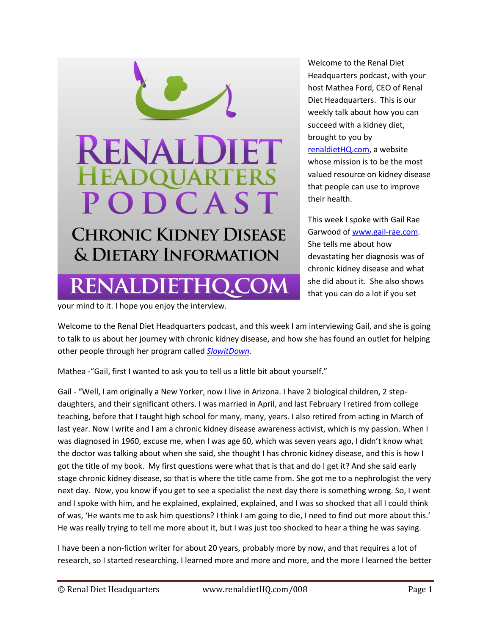

Welcome to the Renal Diet Headquarters podcast, with your host Mathea Ford, CEO of Renal Diet Headquarters. This is our weekly talk about how you can succeed with a kidney diet, brought to you by [renaldietHQ.com,](http://www.renaldiethq.com/) a website whose mission is to be the most valued resource on kidney disease that people can use to improve their health.

This week I spoke with Gail Rae Garwood o[f www.gail-rae.com.](http://www.gail-rae.com/) She tells me about how devastating her diagnosis was of chronic kidney disease and what she did about it. She also shows that you can do a lot if you set

your mind to it. I hope you enjoy the interview.

Welcome to the Renal Diet Headquarters podcast, and this week I am interviewing Gail, and she is going to talk to us about her journey with chronic kidney disease, and how she has found an outlet for helping other people through her program called *[SlowitDown.](http://www.gail-rae.com/)* 

Mathea -"Gail, first I wanted to ask you to tell us a little bit about yourself."

Gail - "Well, I am originally a New Yorker, now I live in Arizona. I have 2 biological children, 2 stepdaughters, and their significant others. I was married in April, and last February I retired from college teaching, before that I taught high school for many, many, years. I also retired from acting in March of last year. Now I write and I am a chronic kidney disease awareness activist, which is my passion. When I was diagnosed in 1960, excuse me, when I was age 60, which was seven years ago, I didn't know what the doctor was talking about when she said, she thought I has chronic kidney disease, and this is how I got the title of my book. My first questions were what that is that and do I get it? And she said early stage chronic kidney disease, so that is where the title came from. She got me to a nephrologist the very next day. Now, you know if you get to see a specialist the next day there is something wrong. So, I went and I spoke with him, and he explained, explained, explained, and I was so shocked that all I could think of was, 'He wants me to ask him questions? I think I am going to die, I need to find out more about this.' He was really trying to tell me more about it, but I was just too shocked to hear a thing he was saying.

I have been a non-fiction writer for about 20 years, probably more by now, and that requires a lot of research, so I started researching. I learned more and more and more, and the more I learned the better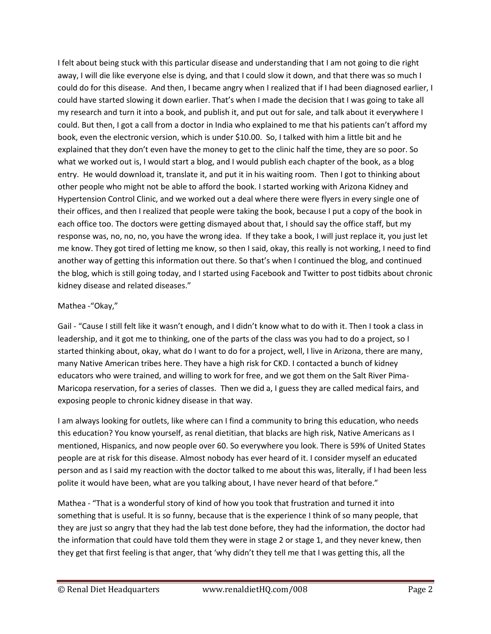I felt about being stuck with this particular disease and understanding that I am not going to die right away, I will die like everyone else is dying, and that I could slow it down, and that there was so much I could do for this disease. And then, I became angry when I realized that if I had been diagnosed earlier, I could have started slowing it down earlier. That's when I made the decision that I was going to take all my research and turn it into a book, and publish it, and put out for sale, and talk about it everywhere I could. But then, I got a call from a doctor in India who explained to me that his patients can't afford my book, even the electronic version, which is under \$10.00. So, I talked with him a little bit and he explained that they don't even have the money to get to the clinic half the time, they are so poor. So what we worked out is, I would start a blog, and I would publish each chapter of the book, as a blog entry. He would download it, translate it, and put it in his waiting room. Then I got to thinking about other people who might not be able to afford the book. I started working with Arizona Kidney and Hypertension Control Clinic, and we worked out a deal where there were flyers in every single one of their offices, and then I realized that people were taking the book, because I put a copy of the book in each office too. The doctors were getting dismayed about that, I should say the office staff, but my response was, no, no, no, you have the wrong idea. If they take a book, I will just replace it, you just let me know. They got tired of letting me know, so then I said, okay, this really is not working, I need to find another way of getting this information out there. So that's when I continued the blog, and continued the blog, which is still going today, and I started using Facebook and Twitter to post tidbits about chronic kidney disease and related diseases."

## Mathea -"Okay,"

Gail - "Cause I still felt like it wasn't enough, and I didn't know what to do with it. Then I took a class in leadership, and it got me to thinking, one of the parts of the class was you had to do a project, so I started thinking about, okay, what do I want to do for a project, well, I live in Arizona, there are many, many Native American tribes here. They have a high risk for CKD. I contacted a bunch of kidney educators who were trained, and willing to work for free, and we got them on the Salt River Pima-Maricopa reservation, for a series of classes. Then we did a, I guess they are called medical fairs, and exposing people to chronic kidney disease in that way.

I am always looking for outlets, like where can I find a community to bring this education, who needs this education? You know yourself, as renal dietitian, that blacks are high risk, Native Americans as I mentioned, Hispanics, and now people over 60. So everywhere you look. There is 59% of United States people are at risk for this disease. Almost nobody has ever heard of it. I consider myself an educated person and as I said my reaction with the doctor talked to me about this was, literally, if I had been less polite it would have been, what are you talking about, I have never heard of that before."

Mathea - "That is a wonderful story of kind of how you took that frustration and turned it into something that is useful. It is so funny, because that is the experience I think of so many people, that they are just so angry that they had the lab test done before, they had the information, the doctor had the information that could have told them they were in stage 2 or stage 1, and they never knew, then they get that first feeling is that anger, that 'why didn't they tell me that I was getting this, all the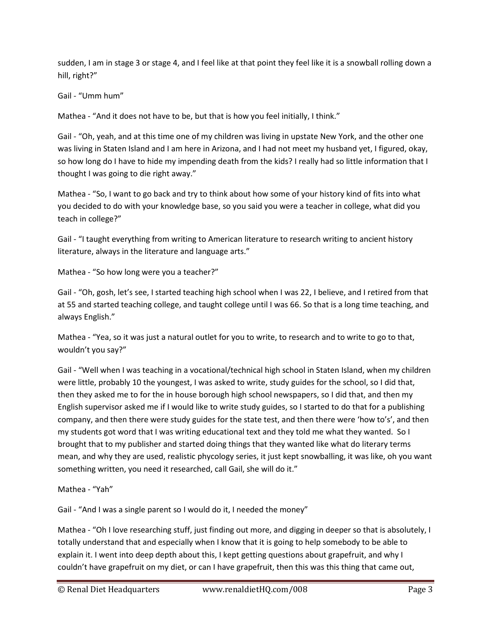sudden, I am in stage 3 or stage 4, and I feel like at that point they feel like it is a snowball rolling down a hill, right?"

Gail - "Umm hum"

Mathea - "And it does not have to be, but that is how you feel initially, I think."

Gail - "Oh, yeah, and at this time one of my children was living in upstate New York, and the other one was living in Staten Island and I am here in Arizona, and I had not meet my husband yet, I figured, okay, so how long do I have to hide my impending death from the kids? I really had so little information that I thought I was going to die right away."

Mathea - "So, I want to go back and try to think about how some of your history kind of fits into what you decided to do with your knowledge base, so you said you were a teacher in college, what did you teach in college?"

Gail - "I taught everything from writing to American literature to research writing to ancient history literature, always in the literature and language arts."

Mathea - "So how long were you a teacher?"

Gail - "Oh, gosh, let's see, I started teaching high school when I was 22, I believe, and I retired from that at 55 and started teaching college, and taught college until I was 66. So that is a long time teaching, and always English."

Mathea - "Yea, so it was just a natural outlet for you to write, to research and to write to go to that, wouldn't you say?"

Gail - "Well when I was teaching in a vocational/technical high school in Staten Island, when my children were little, probably 10 the youngest, I was asked to write, study guides for the school, so I did that, then they asked me to for the in house borough high school newspapers, so I did that, and then my English supervisor asked me if I would like to write study guides, so I started to do that for a publishing company, and then there were study guides for the state test, and then there were 'how to's', and then my students got word that I was writing educational text and they told me what they wanted. So I brought that to my publisher and started doing things that they wanted like what do literary terms mean, and why they are used, realistic phycology series, it just kept snowballing, it was like, oh you want something written, you need it researched, call Gail, she will do it."

Mathea - "Yah"

Gail - "And I was a single parent so I would do it, I needed the money"

Mathea - "Oh I love researching stuff, just finding out more, and digging in deeper so that is absolutely, I totally understand that and especially when I know that it is going to help somebody to be able to explain it. I went into deep depth about this, I kept getting questions about grapefruit, and why I couldn't have grapefruit on my diet, or can I have grapefruit, then this was this thing that came out,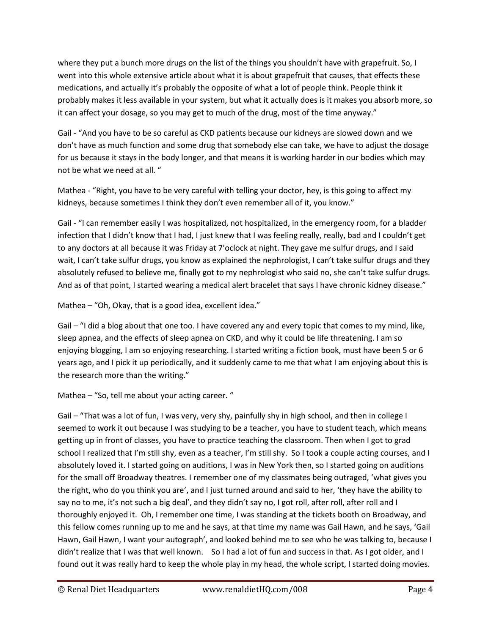where they put a bunch more drugs on the list of the things you shouldn't have with grapefruit. So, I went into this whole extensive article about what it is about grapefruit that causes, that effects these medications, and actually it's probably the opposite of what a lot of people think. People think it probably makes it less available in your system, but what it actually does is it makes you absorb more, so it can affect your dosage, so you may get to much of the drug, most of the time anyway."

Gail - "And you have to be so careful as CKD patients because our kidneys are slowed down and we don't have as much function and some drug that somebody else can take, we have to adjust the dosage for us because it stays in the body longer, and that means it is working harder in our bodies which may not be what we need at all. "

Mathea - "Right, you have to be very careful with telling your doctor, hey, is this going to affect my kidneys, because sometimes I think they don't even remember all of it, you know."

Gail - "I can remember easily I was hospitalized, not hospitalized, in the emergency room, for a bladder infection that I didn't know that I had, I just knew that I was feeling really, really, bad and I couldn't get to any doctors at all because it was Friday at 7'oclock at night. They gave me sulfur drugs, and I said wait, I can't take sulfur drugs, you know as explained the nephrologist, I can't take sulfur drugs and they absolutely refused to believe me, finally got to my nephrologist who said no, she can't take sulfur drugs. And as of that point, I started wearing a medical alert bracelet that says I have chronic kidney disease."

Mathea – "Oh, Okay, that is a good idea, excellent idea."

Gail – "I did a blog about that one too. I have covered any and every topic that comes to my mind, like, sleep apnea, and the effects of sleep apnea on CKD, and why it could be life threatening. I am so enjoying blogging, I am so enjoying researching. I started writing a fiction book, must have been 5 or 6 years ago, and I pick it up periodically, and it suddenly came to me that what I am enjoying about this is the research more than the writing."

Mathea – "So, tell me about your acting career. "

Gail – "That was a lot of fun, I was very, very shy, painfully shy in high school, and then in college I seemed to work it out because I was studying to be a teacher, you have to student teach, which means getting up in front of classes, you have to practice teaching the classroom. Then when I got to grad school I realized that I'm still shy, even as a teacher, I'm still shy. So I took a couple acting courses, and I absolutely loved it. I started going on auditions, I was in New York then, so I started going on auditions for the small off Broadway theatres. I remember one of my classmates being outraged, 'what gives you the right, who do you think you are', and I just turned around and said to her, 'they have the ability to say no to me, it's not such a big deal', and they didn't say no, I got roll, after roll, after roll and I thoroughly enjoyed it. Oh, I remember one time, I was standing at the tickets booth on Broadway, and this fellow comes running up to me and he says, at that time my name was Gail Hawn, and he says, 'Gail Hawn, Gail Hawn, I want your autograph', and looked behind me to see who he was talking to, because I didn't realize that I was that well known. So I had a lot of fun and success in that. As I got older, and I found out it was really hard to keep the whole play in my head, the whole script, I started doing movies.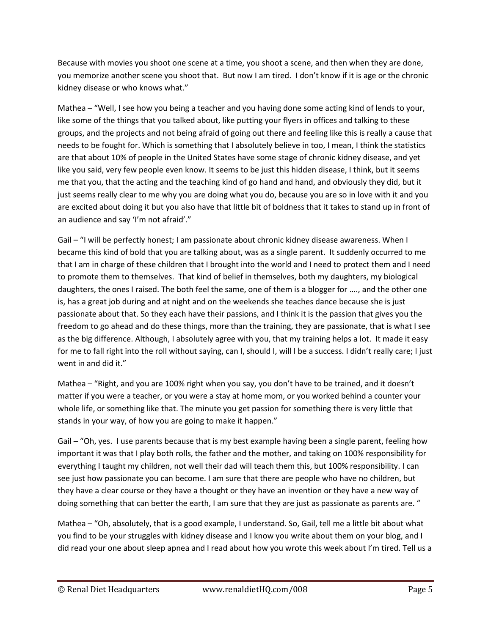Because with movies you shoot one scene at a time, you shoot a scene, and then when they are done, you memorize another scene you shoot that. But now I am tired. I don't know if it is age or the chronic kidney disease or who knows what."

Mathea – "Well, I see how you being a teacher and you having done some acting kind of lends to your, like some of the things that you talked about, like putting your flyers in offices and talking to these groups, and the projects and not being afraid of going out there and feeling like this is really a cause that needs to be fought for. Which is something that I absolutely believe in too, I mean, I think the statistics are that about 10% of people in the United States have some stage of chronic kidney disease, and yet like you said, very few people even know. It seems to be just this hidden disease, I think, but it seems me that you, that the acting and the teaching kind of go hand and hand, and obviously they did, but it just seems really clear to me why you are doing what you do, because you are so in love with it and you are excited about doing it but you also have that little bit of boldness that it takes to stand up in front of an audience and say 'I'm not afraid'."

Gail – "I will be perfectly honest; I am passionate about chronic kidney disease awareness. When I became this kind of bold that you are talking about, was as a single parent. It suddenly occurred to me that I am in charge of these children that I brought into the world and I need to protect them and I need to promote them to themselves. That kind of belief in themselves, both my daughters, my biological daughters, the ones I raised. The both feel the same, one of them is a blogger for …., and the other one is, has a great job during and at night and on the weekends she teaches dance because she is just passionate about that. So they each have their passions, and I think it is the passion that gives you the freedom to go ahead and do these things, more than the training, they are passionate, that is what I see as the big difference. Although, I absolutely agree with you, that my training helps a lot. It made it easy for me to fall right into the roll without saying, can I, should I, will I be a success. I didn't really care; I just went in and did it."

Mathea – "Right, and you are 100% right when you say, you don't have to be trained, and it doesn't matter if you were a teacher, or you were a stay at home mom, or you worked behind a counter your whole life, or something like that. The minute you get passion for something there is very little that stands in your way, of how you are going to make it happen."

Gail – "Oh, yes. I use parents because that is my best example having been a single parent, feeling how important it was that I play both rolls, the father and the mother, and taking on 100% responsibility for everything I taught my children, not well their dad will teach them this, but 100% responsibility. I can see just how passionate you can become. I am sure that there are people who have no children, but they have a clear course or they have a thought or they have an invention or they have a new way of doing something that can better the earth, I am sure that they are just as passionate as parents are. "

Mathea – "Oh, absolutely, that is a good example, I understand. So, Gail, tell me a little bit about what you find to be your struggles with kidney disease and I know you write about them on your blog, and I did read your one about sleep apnea and I read about how you wrote this week about I'm tired. Tell us a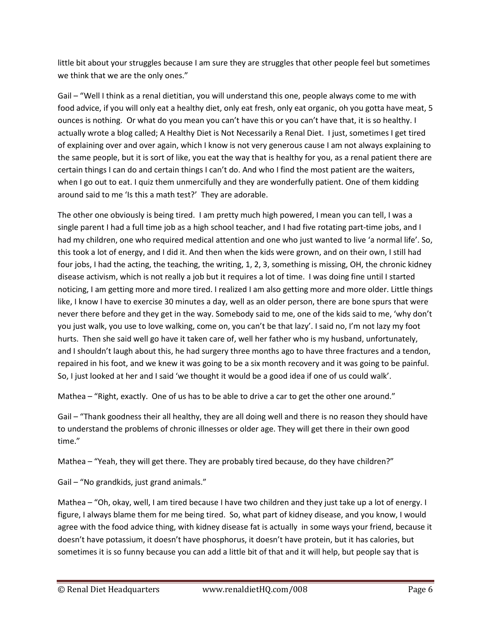little bit about your struggles because I am sure they are struggles that other people feel but sometimes we think that we are the only ones."

Gail – "Well I think as a renal dietitian, you will understand this one, people always come to me with food advice, if you will only eat a healthy diet, only eat fresh, only eat organic, oh you gotta have meat, 5 ounces is nothing. Or what do you mean you can't have this or you can't have that, it is so healthy. I actually wrote a blog called; A Healthy Diet is Not Necessarily a Renal Diet. I just, sometimes I get tired of explaining over and over again, which I know is not very generous cause I am not always explaining to the same people, but it is sort of like, you eat the way that is healthy for you, as a renal patient there are certain things I can do and certain things I can't do. And who I find the most patient are the waiters, when I go out to eat. I quiz them unmercifully and they are wonderfully patient. One of them kidding around said to me 'Is this a math test?' They are adorable.

The other one obviously is being tired. I am pretty much high powered, I mean you can tell, I was a single parent I had a full time job as a high school teacher, and I had five rotating part-time jobs, and I had my children, one who required medical attention and one who just wanted to live 'a normal life'. So, this took a lot of energy, and I did it. And then when the kids were grown, and on their own, I still had four jobs, I had the acting, the teaching, the writing, 1, 2, 3, something is missing, OH, the chronic kidney disease activism, which is not really a job but it requires a lot of time. I was doing fine until I started noticing, I am getting more and more tired. I realized I am also getting more and more older. Little things like, I know I have to exercise 30 minutes a day, well as an older person, there are bone spurs that were never there before and they get in the way. Somebody said to me, one of the kids said to me, 'why don't you just walk, you use to love walking, come on, you can't be that lazy'. I said no, I'm not lazy my foot hurts. Then she said well go have it taken care of, well her father who is my husband, unfortunately, and I shouldn't laugh about this, he had surgery three months ago to have three fractures and a tendon, repaired in his foot, and we knew it was going to be a six month recovery and it was going to be painful. So, I just looked at her and I said 'we thought it would be a good idea if one of us could walk'.

Mathea – "Right, exactly. One of us has to be able to drive a car to get the other one around."

Gail – "Thank goodness their all healthy, they are all doing well and there is no reason they should have to understand the problems of chronic illnesses or older age. They will get there in their own good time."

Mathea – "Yeah, they will get there. They are probably tired because, do they have children?"

Gail – "No grandkids, just grand animals."

Mathea – "Oh, okay, well, I am tired because I have two children and they just take up a lot of energy. I figure, I always blame them for me being tired. So, what part of kidney disease, and you know, I would agree with the food advice thing, with kidney disease fat is actually in some ways your friend, because it doesn't have potassium, it doesn't have phosphorus, it doesn't have protein, but it has calories, but sometimes it is so funny because you can add a little bit of that and it will help, but people say that is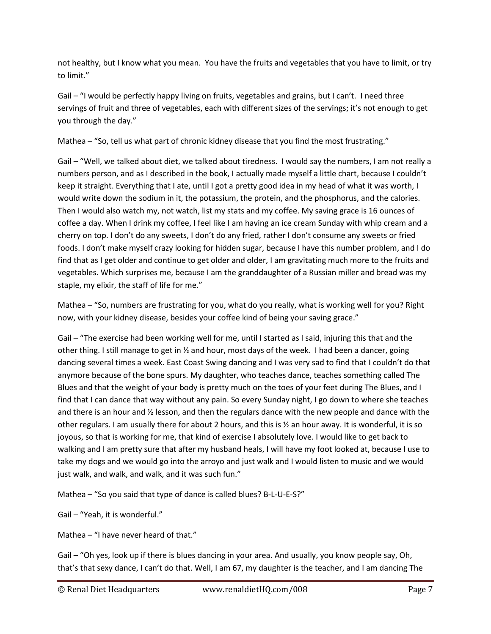not healthy, but I know what you mean. You have the fruits and vegetables that you have to limit, or try to limit."

Gail – "I would be perfectly happy living on fruits, vegetables and grains, but I can't. I need three servings of fruit and three of vegetables, each with different sizes of the servings; it's not enough to get you through the day."

Mathea – "So, tell us what part of chronic kidney disease that you find the most frustrating."

Gail – "Well, we talked about diet, we talked about tiredness. I would say the numbers, I am not really a numbers person, and as I described in the book, I actually made myself a little chart, because I couldn't keep it straight. Everything that I ate, until I got a pretty good idea in my head of what it was worth, I would write down the sodium in it, the potassium, the protein, and the phosphorus, and the calories. Then I would also watch my, not watch, list my stats and my coffee. My saving grace is 16 ounces of coffee a day. When I drink my coffee, I feel like I am having an ice cream Sunday with whip cream and a cherry on top. I don't do any sweets, I don't do any fried, rather I don't consume any sweets or fried foods. I don't make myself crazy looking for hidden sugar, because I have this number problem, and I do find that as I get older and continue to get older and older, I am gravitating much more to the fruits and vegetables. Which surprises me, because I am the granddaughter of a Russian miller and bread was my staple, my elixir, the staff of life for me."

Mathea – "So, numbers are frustrating for you, what do you really, what is working well for you? Right now, with your kidney disease, besides your coffee kind of being your saving grace."

Gail – "The exercise had been working well for me, until I started as I said, injuring this that and the other thing. I still manage to get in  $\frac{1}{2}$  and hour, most days of the week. I had been a dancer, going dancing several times a week. East Coast Swing dancing and I was very sad to find that I couldn't do that anymore because of the bone spurs. My daughter, who teaches dance, teaches something called The Blues and that the weight of your body is pretty much on the toes of your feet during The Blues, and I find that I can dance that way without any pain. So every Sunday night, I go down to where she teaches and there is an hour and ½ lesson, and then the regulars dance with the new people and dance with the other regulars. I am usually there for about 2 hours, and this is ½ an hour away. It is wonderful, it is so joyous, so that is working for me, that kind of exercise I absolutely love. I would like to get back to walking and I am pretty sure that after my husband heals, I will have my foot looked at, because I use to take my dogs and we would go into the arroyo and just walk and I would listen to music and we would just walk, and walk, and walk, and it was such fun."

Mathea – "So you said that type of dance is called blues? B-L-U-E-S?"

Gail – "Yeah, it is wonderful."

Mathea – "I have never heard of that."

Gail – "Oh yes, look up if there is blues dancing in your area. And usually, you know people say, Oh, that's that sexy dance, I can't do that. Well, I am 67, my daughter is the teacher, and I am dancing The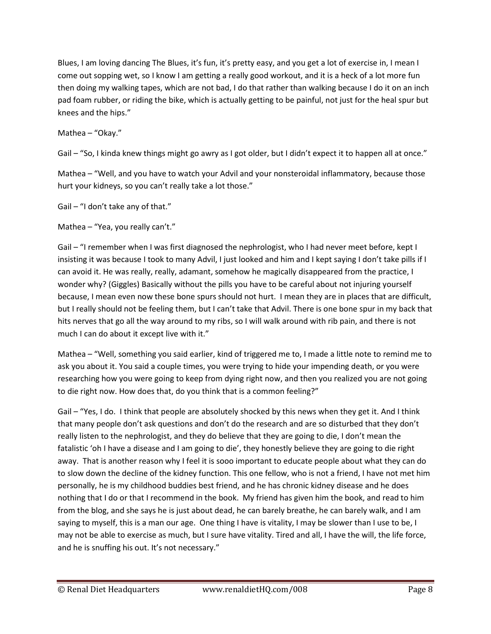Blues, I am loving dancing The Blues, it's fun, it's pretty easy, and you get a lot of exercise in, I mean I come out sopping wet, so I know I am getting a really good workout, and it is a heck of a lot more fun then doing my walking tapes, which are not bad, I do that rather than walking because I do it on an inch pad foam rubber, or riding the bike, which is actually getting to be painful, not just for the heal spur but knees and the hips."

Mathea – "Okay."

Gail – "So, I kinda knew things might go awry as I got older, but I didn't expect it to happen all at once."

Mathea – "Well, and you have to watch your Advil and your nonsteroidal inflammatory, because those hurt your kidneys, so you can't really take a lot those."

Gail – "I don't take any of that."

Mathea – "Yea, you really can't."

Gail – "I remember when I was first diagnosed the nephrologist, who I had never meet before, kept I insisting it was because I took to many Advil, I just looked and him and I kept saying I don't take pills if I can avoid it. He was really, really, adamant, somehow he magically disappeared from the practice, I wonder why? (Giggles) Basically without the pills you have to be careful about not injuring yourself because, I mean even now these bone spurs should not hurt. I mean they are in places that are difficult, but I really should not be feeling them, but I can't take that Advil. There is one bone spur in my back that hits nerves that go all the way around to my ribs, so I will walk around with rib pain, and there is not much I can do about it except live with it."

Mathea – "Well, something you said earlier, kind of triggered me to, I made a little note to remind me to ask you about it. You said a couple times, you were trying to hide your impending death, or you were researching how you were going to keep from dying right now, and then you realized you are not going to die right now. How does that, do you think that is a common feeling?"

Gail – "Yes, I do. I think that people are absolutely shocked by this news when they get it. And I think that many people don't ask questions and don't do the research and are so disturbed that they don't really listen to the nephrologist, and they do believe that they are going to die, I don't mean the fatalistic 'oh I have a disease and I am going to die', they honestly believe they are going to die right away. That is another reason why I feel it is sooo important to educate people about what they can do to slow down the decline of the kidney function. This one fellow, who is not a friend, I have not met him personally, he is my childhood buddies best friend, and he has chronic kidney disease and he does nothing that I do or that I recommend in the book. My friend has given him the book, and read to him from the blog, and she says he is just about dead, he can barely breathe, he can barely walk, and I am saying to myself, this is a man our age. One thing I have is vitality, I may be slower than I use to be, I may not be able to exercise as much, but I sure have vitality. Tired and all, I have the will, the life force, and he is snuffing his out. It's not necessary."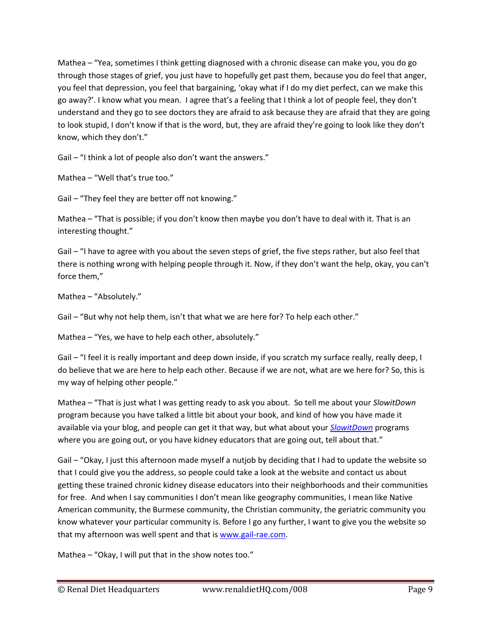Mathea – "Yea, sometimes I think getting diagnosed with a chronic disease can make you, you do go through those stages of grief, you just have to hopefully get past them, because you do feel that anger, you feel that depression, you feel that bargaining, 'okay what if I do my diet perfect, can we make this go away?'. I know what you mean. I agree that's a feeling that I think a lot of people feel, they don't understand and they go to see doctors they are afraid to ask because they are afraid that they are going to look stupid, I don't know if that is the word, but, they are afraid they're going to look like they don't know, which they don't."

Gail – "I think a lot of people also don't want the answers."

Mathea – "Well that's true too."

Gail – "They feel they are better off not knowing."

Mathea – "That is possible; if you don't know then maybe you don't have to deal with it. That is an interesting thought."

Gail – "I have to agree with you about the seven steps of grief, the five steps rather, but also feel that there is nothing wrong with helping people through it. Now, if they don't want the help, okay, you can't force them,"

Mathea – "Absolutely."

Gail – "But why not help them, isn't that what we are here for? To help each other."

Mathea – "Yes, we have to help each other, absolutely."

Gail – "I feel it is really important and deep down inside, if you scratch my surface really, really deep, I do believe that we are here to help each other. Because if we are not, what are we here for? So, this is my way of helping other people."

Mathea – "That is just what I was getting ready to ask you about. So tell me about your *SlowitDown*  program because you have talked a little bit about your book, and kind of how you have made it available via your blog, and people can get it that way, but what about your *[SlowitDown](http://www.gail-rae.com/)* programs where you are going out, or you have kidney educators that are going out, tell about that."

Gail – "Okay, I just this afternoon made myself a nutjob by deciding that I had to update the website so that I could give you the address, so people could take a look at the website and contact us about getting these trained chronic kidney disease educators into their neighborhoods and their communities for free. And when I say communities I don't mean like geography communities, I mean like Native American community, the Burmese community, the Christian community, the geriatric community you know whatever your particular community is. Before I go any further, I want to give you the website so that my afternoon was well spent and that is [www.gail-rae.com.](http://www.gail-rae.com/)

Mathea – "Okay, I will put that in the show notes too."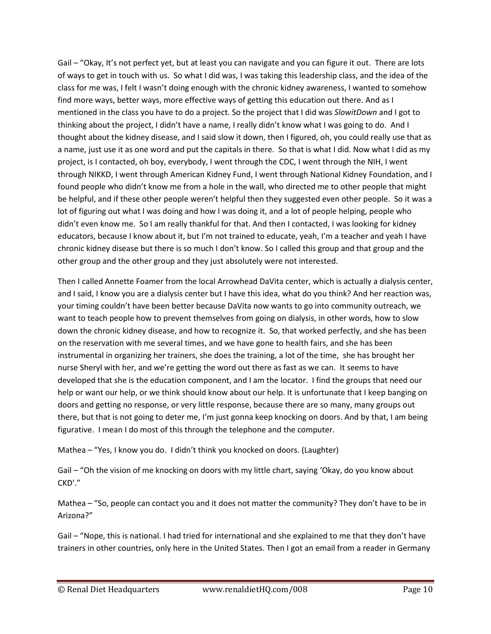Gail – "Okay, It's not perfect yet, but at least you can navigate and you can figure it out. There are lots of ways to get in touch with us. So what I did was, I was taking this leadership class, and the idea of the class for me was, I felt I wasn't doing enough with the chronic kidney awareness, I wanted to somehow find more ways, better ways, more effective ways of getting this education out there. And as I mentioned in the class you have to do a project. So the project that I did was *SlowitDown* and I got to thinking about the project, I didn't have a name, I really didn't know what I was going to do. And I thought about the kidney disease, and I said slow it down, then I figured, oh, you could really use that as a name, just use it as one word and put the capitals in there. So that is what I did. Now what I did as my project, is I contacted, oh boy, everybody, I went through the CDC, I went through the NIH, I went through NIKKD, I went through American Kidney Fund, I went through National Kidney Foundation, and I found people who didn't know me from a hole in the wall, who directed me to other people that might be helpful, and if these other people weren't helpful then they suggested even other people. So it was a lot of figuring out what I was doing and how I was doing it, and a lot of people helping, people who didn't even know me. So I am really thankful for that. And then I contacted, I was looking for kidney educators, because I know about it, but I'm not trained to educate, yeah, I'm a teacher and yeah I have chronic kidney disease but there is so much I don't know. So I called this group and that group and the other group and the other group and they just absolutely were not interested.

Then I called Annette Foamer from the local Arrowhead DaVita center, which is actually a dialysis center, and I said, I know you are a dialysis center but I have this idea, what do you think? And her reaction was, your timing couldn't have been better because DaVita now wants to go into community outreach, we want to teach people how to prevent themselves from going on dialysis, in other words, how to slow down the chronic kidney disease, and how to recognize it. So, that worked perfectly, and she has been on the reservation with me several times, and we have gone to health fairs, and she has been instrumental in organizing her trainers, she does the training, a lot of the time, she has brought her nurse Sheryl with her, and we're getting the word out there as fast as we can. It seems to have developed that she is the education component, and I am the locator. I find the groups that need our help or want our help, or we think should know about our help. It is unfortunate that I keep banging on doors and getting no response, or very little response, because there are so many, many groups out there, but that is not going to deter me, I'm just gonna keep knocking on doors. And by that, I am being figurative. I mean I do most of this through the telephone and the computer.

Mathea – "Yes, I know you do. I didn't think you knocked on doors. (Laughter)

Gail – "Oh the vision of me knocking on doors with my little chart, saying 'Okay, do you know about CKD'."

Mathea – "So, people can contact you and it does not matter the community? They don't have to be in Arizona?"

Gail – "Nope, this is national. I had tried for international and she explained to me that they don't have trainers in other countries, only here in the United States. Then I got an email from a reader in Germany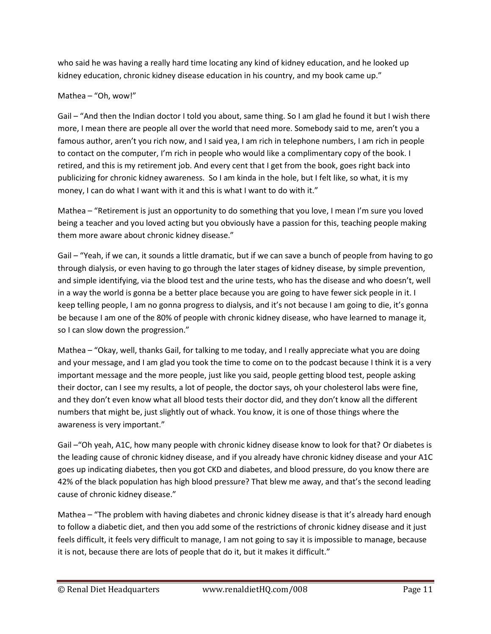who said he was having a really hard time locating any kind of kidney education, and he looked up kidney education, chronic kidney disease education in his country, and my book came up."

## Mathea – "Oh, wow!"

Gail – "And then the Indian doctor I told you about, same thing. So I am glad he found it but I wish there more, I mean there are people all over the world that need more. Somebody said to me, aren't you a famous author, aren't you rich now, and I said yea, I am rich in telephone numbers, I am rich in people to contact on the computer, I'm rich in people who would like a complimentary copy of the book. I retired, and this is my retirement job. And every cent that I get from the book, goes right back into publicizing for chronic kidney awareness. So I am kinda in the hole, but I felt like, so what, it is my money, I can do what I want with it and this is what I want to do with it."

Mathea – "Retirement is just an opportunity to do something that you love, I mean I'm sure you loved being a teacher and you loved acting but you obviously have a passion for this, teaching people making them more aware about chronic kidney disease."

Gail – "Yeah, if we can, it sounds a little dramatic, but if we can save a bunch of people from having to go through dialysis, or even having to go through the later stages of kidney disease, by simple prevention, and simple identifying, via the blood test and the urine tests, who has the disease and who doesn't, well in a way the world is gonna be a better place because you are going to have fewer sick people in it. I keep telling people, I am no gonna progress to dialysis, and it's not because I am going to die, it's gonna be because I am one of the 80% of people with chronic kidney disease, who have learned to manage it, so I can slow down the progression."

Mathea – "Okay, well, thanks Gail, for talking to me today, and I really appreciate what you are doing and your message, and I am glad you took the time to come on to the podcast because I think it is a very important message and the more people, just like you said, people getting blood test, people asking their doctor, can I see my results, a lot of people, the doctor says, oh your cholesterol labs were fine, and they don't even know what all blood tests their doctor did, and they don't know all the different numbers that might be, just slightly out of whack. You know, it is one of those things where the awareness is very important."

Gail –"Oh yeah, A1C, how many people with chronic kidney disease know to look for that? Or diabetes is the leading cause of chronic kidney disease, and if you already have chronic kidney disease and your A1C goes up indicating diabetes, then you got CKD and diabetes, and blood pressure, do you know there are 42% of the black population has high blood pressure? That blew me away, and that's the second leading cause of chronic kidney disease."

Mathea – "The problem with having diabetes and chronic kidney disease is that it's already hard enough to follow a diabetic diet, and then you add some of the restrictions of chronic kidney disease and it just feels difficult, it feels very difficult to manage, I am not going to say it is impossible to manage, because it is not, because there are lots of people that do it, but it makes it difficult."